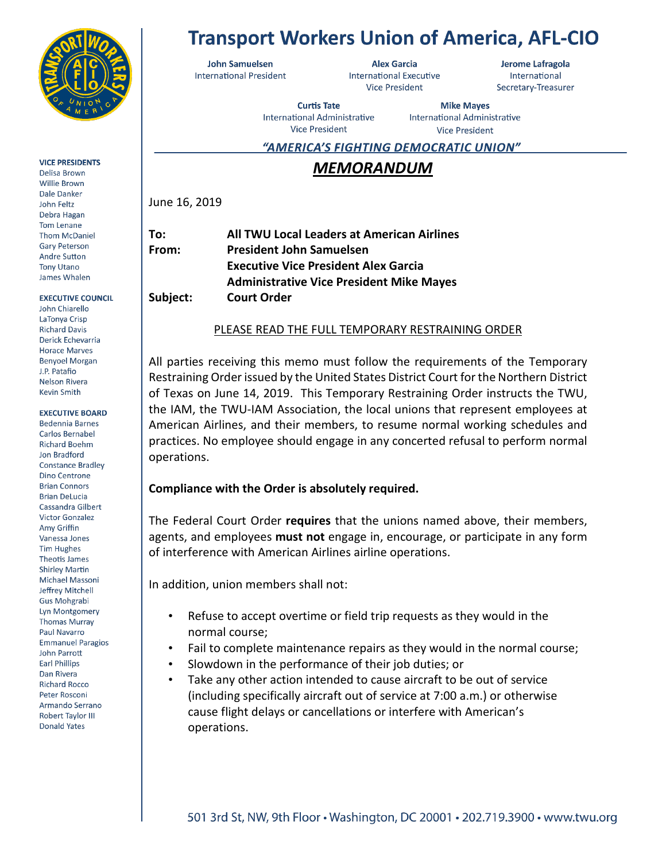

### **VICE PRESIDENTS**

Delisa Brown **Willie Brown** Dale Danker John Feltz Debra Hagan **Tom Lenane Thom McDaniel Gary Peterson Andre Sutton Tony Utano** James Whalen

**EXECUTIVE COUNCIL** John Chiarello LaTonya Crisp **Richard Davis** Derick Echevarria **Horace Marves Benyoel Morgan** J.P. Patafio Nelson Rivera Kevin Smith

#### **EXECUTIVE BOARD**

**Bedennia Barnes** Carlos Bernabel **Richard Boehm** Jon Bradford **Constance Bradley** Dino Centrone **Brian Connors Brian DeLucia** Cassandra Gilbert **Victor Gonzalez** Amy Griffin Vanessa Jones **Tim Hughes** Theotis James **Shirley Martin** Michael Massoni Jeffrey Mitchell **Gus Mohgrabi** Lyn Montgomery **Thomas Murray** Paul Navarro **Emmanuel Paragios** John Parrott **Earl Phillips** Dan Rivera **Richard Rocco** Peter Rosconi Armando Serrano Robert Taylor III **Donald Yates** 

# **Transport Workers Union of America, AFL-CIO**

**John Samuelsen International President** 

**Alex Garcia** International Executive **Vice President** 

Jerome Lafragola International Secretary-Treasurer

**Curtis Tate** International Administrative **Vice President** 

**Mike Mayes** International Administrative **Vice President** 

<u>"AMERICA'S FIGHTING DEMOCRATIC UNION"</u>

# *MEMORANDUM*

June 16, 2019

| To:      | All TWU Local Leaders at American Airlines      |
|----------|-------------------------------------------------|
| From:    | <b>President John Samuelsen</b>                 |
|          | <b>Executive Vice President Alex Garcia</b>     |
|          | <b>Administrative Vice President Mike Mayes</b> |
| Subject: | <b>Court Order</b>                              |
|          |                                                 |

## PLEASE READ THE FULL TEMPORARY RESTRAINING ORDER

All parties receiving this memo must follow the requirements of the Temporary Restraining Order issued by the United States District Court for the Northern District of Texas on June 14, 2019. This Temporary Restraining Order instructs the TWU, the IAM, the TWU-IAM Association, the local unions that represent employees at American Airlines, and their members, to resume normal working schedules and practices. No employee should engage in any concerted refusal to perform normal operations.

### **Compliance with the Order is absolutely required.**

The Federal Court Order **requires** that the unions named above, their members, agents, and employees **must not** engage in, encourage, or participate in any form of interference with American Airlines airline operations.

In addition, union members shall not:

- Refuse to accept overtime or field trip requests as they would in the normal course;
- Fail to complete maintenance repairs as they would in the normal course;
- Slowdown in the performance of their job duties; or
- Take any other action intended to cause aircraft to be out of service (including specifically aircraft out of service at 7:00 a.m.) or otherwise cause flight delays or cancellations or interfere with American's operations.